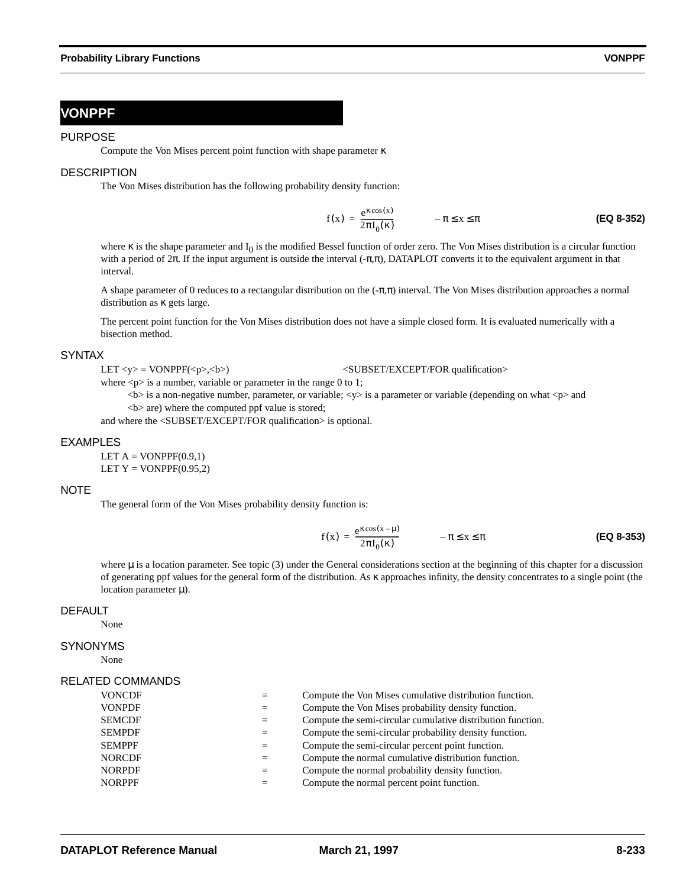# **VONPPF**

### PURPOSE

Compute the Von Mises percent point function with shape parameter κ

# **DESCRIPTION**

The Von Mises distribution has the following probability density function:

$$
f(x) = \frac{e^{\kappa \cos(x)}}{2\pi I_0(\kappa)} \qquad -\pi \le x \le \pi
$$
 (Eq 8-352)

where  $\kappa$  is the shape parameter and  $I_0$  is the modified Bessel function of order zero. The Von Mises distribution is a circular function with a period of  $2\pi$ . If the input argument is outside the interval  $(-\pi,\pi)$ , DATAPLOT converts it to the equivalent argument in that interval.

A shape parameter of 0 reduces to a rectangular distribution on the (-π,π) interval. The Von Mises distribution approaches a normal distribution as κ gets large.

The percent point function for the Von Mises distribution does not have a simple closed form. It is evaluated numerically with a bisection method.

### **SYNTAX**

LET <y> = VONPPF(<p>,<br/>\bit \effect{\bit \text{\bit \text{\bit \text{\bit \text{\bit \text{\bit \text{\bit \text{\bit \text{\bit \text{\bit \text{\bit \text{\bit \text{\bit \text{\bit\$\sigma}}\)} \text{\bit\$\sigma}\sigm

where  $\langle p \rangle$  is a number, variable or parameter in the range 0 to 1;

 <b> is a non-negative number, parameter, or variable; <y> is a parameter or variable (depending on what <p> and  **are) where the computed ppf value is stored;** 

and where the <SUBSET/EXCEPT/FOR qualification> is optional.

### EXAMPLES

LET  $A = VONPPF(0.9,1)$ LET  $Y = VONPPF(0.95,2)$ 

### NOTE

The general form of the Von Mises probability density function is:

$$
f(x) = \frac{e^{\kappa \cos(x - \mu)}}{2\pi I_0(\kappa)} \qquad -\pi \le x \le \pi
$$
 (EQ 8-353)

where  $\mu$  is a location parameter. See topic (3) under the General considerations section at the beginning of this chapter for a discussion of generating ppf values for the general form of the distribution. As κ approaches infinity, the density concentrates to a single point (the location parameter  $\mu$ ).

## DEFAULT

None

# SYNONYMS

None

### RELATED COMMANDS

| <b>VONCDF</b> |         | Compute the Von Mises cumulative distribution function.     |
|---------------|---------|-------------------------------------------------------------|
| <b>VONPDF</b> | $=$     | Compute the Von Mises probability density function.         |
| <b>SEMCDF</b> | $=$     | Compute the semi-circular cumulative distribution function. |
| <b>SEMPDF</b> | $=$     | Compute the semi-circular probability density function.     |
| <b>SEMPPF</b> | $=$     | Compute the semi-circular percent point function.           |
| <b>NORCDF</b> | $=$     | Compute the normal cumulative distribution function.        |
| <b>NORPDF</b> | $=$ $-$ | Compute the normal probability density function.            |
| <b>NORPPF</b> |         | Compute the normal percent point function.                  |